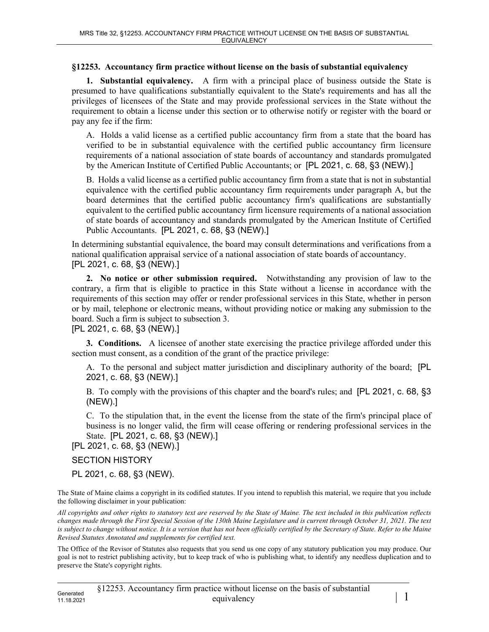## **§12253. Accountancy firm practice without license on the basis of substantial equivalency**

**1. Substantial equivalency.** A firm with a principal place of business outside the State is presumed to have qualifications substantially equivalent to the State's requirements and has all the privileges of licensees of the State and may provide professional services in the State without the requirement to obtain a license under this section or to otherwise notify or register with the board or pay any fee if the firm:

A. Holds a valid license as a certified public accountancy firm from a state that the board has verified to be in substantial equivalence with the certified public accountancy firm licensure requirements of a national association of state boards of accountancy and standards promulgated by the American Institute of Certified Public Accountants; or [PL 2021, c. 68, §3 (NEW).]

B. Holds a valid license as a certified public accountancy firm from a state that is not in substantial equivalence with the certified public accountancy firm requirements under paragraph A, but the board determines that the certified public accountancy firm's qualifications are substantially equivalent to the certified public accountancy firm licensure requirements of a national association of state boards of accountancy and standards promulgated by the American Institute of Certified Public Accountants. [PL 2021, c. 68, §3 (NEW).]

In determining substantial equivalence, the board may consult determinations and verifications from a national qualification appraisal service of a national association of state boards of accountancy. [PL 2021, c. 68, §3 (NEW).]

**2. No notice or other submission required.** Notwithstanding any provision of law to the contrary, a firm that is eligible to practice in this State without a license in accordance with the requirements of this section may offer or render professional services in this State, whether in person or by mail, telephone or electronic means, without providing notice or making any submission to the board. Such a firm is subject to subsection 3.

[PL 2021, c. 68, §3 (NEW).]

**3. Conditions.** A licensee of another state exercising the practice privilege afforded under this section must consent, as a condition of the grant of the practice privilege:

A. To the personal and subject matter jurisdiction and disciplinary authority of the board; [PL 2021, c. 68, §3 (NEW).]

B. To comply with the provisions of this chapter and the board's rules; and [PL 2021, c. 68, §3 (NEW).]

C. To the stipulation that, in the event the license from the state of the firm's principal place of business is no longer valid, the firm will cease offering or rendering professional services in the State. [PL 2021, c. 68, §3 (NEW).]

[PL 2021, c. 68, §3 (NEW).]

## SECTION HISTORY

PL 2021, c. 68, §3 (NEW).

The State of Maine claims a copyright in its codified statutes. If you intend to republish this material, we require that you include the following disclaimer in your publication:

*All copyrights and other rights to statutory text are reserved by the State of Maine. The text included in this publication reflects changes made through the First Special Session of the 130th Maine Legislature and is current through October 31, 2021. The text*  is subject to change without notice. It is a version that has not been officially certified by the Secretary of State. Refer to the Maine *Revised Statutes Annotated and supplements for certified text.*

The Office of the Revisor of Statutes also requests that you send us one copy of any statutory publication you may produce. Our goal is not to restrict publishing activity, but to keep track of who is publishing what, to identify any needless duplication and to preserve the State's copyright rights.